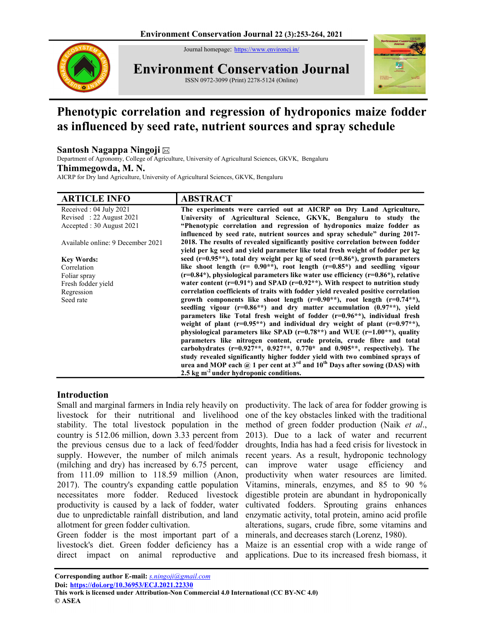Journal homepage: https://www.environcj.in/



Environment Conservation Journal ISSN 0972-3099 (Print) 2278-5124 (Online)



# Phenotypic correlation and regression of hydroponics maize fodder as influenced by seed rate, nutrient sources and spray schedule

### Santosh Nagappa Ningoji

Department of Agronomy, College of Agriculture, University of Agricultural Sciences, GKVK, Bengaluru

#### Thimmegowda, M. N.

AICRP for Dry land Agriculture, University of Agricultural Sciences, GKVK, Bengaluru

| <b>ARTICLE INFO</b>               | <b>ABSTRACT</b>                                                                                                                                                   |
|-----------------------------------|-------------------------------------------------------------------------------------------------------------------------------------------------------------------|
| Received: 04 July 2021            | The experiments were carried out at AICRP on Dry Land Agriculture,                                                                                                |
| Revised: 22 August 2021           | University of Agricultural Science, GKVK, Bengaluru to study the                                                                                                  |
| Accepted: 30 August 2021          | "Phenotypic correlation and regression of hydroponics maize fodder as<br>influenced by seed rate, nutrient sources and spray schedule" during 2017-               |
| Available online: 9 December 2021 | 2018. The results of revealed significantly positive correlation between fodder<br>yield per kg seed and yield parameter like total fresh weight of fodder per kg |
| <b>Key Words:</b>                 | seed ( $r=0.95**$ ), total dry weight per kg of seed ( $r=0.86*$ ), growth parameters                                                                             |
| Correlation                       | like shoot length ( $r = 0.90$ **), root length ( $r=0.85$ *) and seedling vigour                                                                                 |
| Foliar spray                      | $(r=0.84*)$ , physiological parameters like water use efficiency $(r=0.86*)$ , relative                                                                           |
| Fresh fodder yield                | water content ( $r=0.91*$ ) and SPAD ( $r=0.92**$ ). With respect to nutrition study                                                                              |
| Regression                        | correlation coefficients of traits with fodder yield revealed positive correlation                                                                                |
| Seed rate                         | growth components like shoot length ( $r=0.90**$ ), root length ( $r=0.74**$ ),                                                                                   |
|                                   | seedling vigour $(r=0.86**)$ and dry matter accumulation $(0.97**)$ , yield                                                                                       |
|                                   | parameters like Total fresh weight of fodder $(r=0.96**)$ , individual fresh                                                                                      |
|                                   | weight of plant $(r=0.95**)$ and individual dry weight of plant $(r=0.97**)$ ,                                                                                    |
|                                   | physiological parameters like SPAD ( $r=0.78**$ ) and WUE ( $r=1.00**$ ), quality                                                                                 |
|                                   | parameters like nitrogen content, crude protein, crude fibre and total                                                                                            |
|                                   | carbohydrates ( $r=0.927**$ , 0.927**, 0.770* and 0.905**, respectively). The                                                                                     |
|                                   | study revealed significantly higher fodder yield with two combined sprays of                                                                                      |
|                                   | urea and MOP each $\omega$ 1 per cent at 3 <sup>rd</sup> and 10 <sup>th</sup> Days after sowing (DAS) with                                                        |
|                                   | 2.5 $kg \text{ m}^2$ under hydroponic conditions.                                                                                                                 |

#### Introduction

Small and marginal farmers in India rely heavily on livestock for their nutritional and livelihood stability. The total livestock population in the country is 512.06 million, down 3.33 percent from the previous census due to a lack of feed/fodder supply. However, the number of milch animals (milching and dry) has increased by 6.75 percent, from 111.09 million to 118.59 million (Anon, 2017). The country's expanding cattle population necessitates more fodder. Reduced livestock productivity is caused by a lack of fodder, water due to unpredictable rainfall distribution, and land allotment for green fodder cultivation.

Green fodder is the most important part of a livestock's diet. Green fodder deficiency has a direct impact on animal reproductive and

productivity. The lack of area for fodder growing is one of the key obstacles linked with the traditional method of green fodder production (Naik et al., 2013). Due to a lack of water and recurrent droughts, India has had a feed crisis for livestock in recent years. As a result, hydroponic technology can improve water usage efficiency and productivity when water resources are limited. Vitamins, minerals, enzymes, and 85 to 90 % digestible protein are abundant in hydroponically cultivated fodders. Sprouting grains enhances enzymatic activity, total protein, amino acid profile alterations, sugars, crude fibre, some vitamins and minerals, and decreases starch (Lorenz, 1980).

Maize is an essential crop with a wide range of applications. Due to its increased fresh biomass, it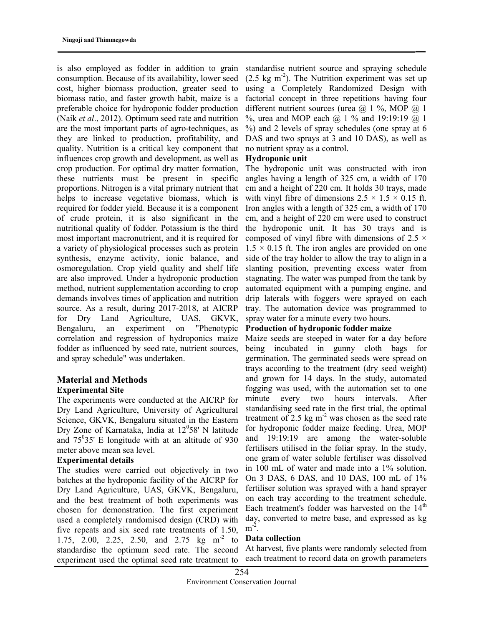is also employed as fodder in addition to grain consumption. Because of its availability, lower seed cost, higher biomass production, greater seed to biomass ratio, and faster growth habit, maize is a preferable choice for hydroponic fodder production (Naik et al., 2012). Optimum seed rate and nutrition are the most important parts of agro-techniques, as they are linked to production, profitability, and quality. Nutrition is a critical key component that influences crop growth and development, as well as crop production. For optimal dry matter formation, these nutrients must be present in specific proportions. Nitrogen is a vital primary nutrient that helps to increase vegetative biomass, which is required for fodder yield. Because it is a component of crude protein, it is also significant in the nutritional quality of fodder. Potassium is the third most important macronutrient, and it is required for a variety of physiological processes such as protein synthesis, enzyme activity, ionic balance, and osmoregulation. Crop yield quality and shelf life are also improved. Under a hydroponic production method, nutrient supplementation according to crop demands involves times of application and nutrition source. As a result, during 2017-2018, at AICRP for Dry Land Agriculture, UAS, GKVK, Bengaluru, an experiment on "Phenotypic correlation and regression of hydroponics maize fodder as influenced by seed rate, nutrient sources, and spray schedule" was undertaken.

#### Material and Methods Experimental Site

The experiments were conducted at the AICRP for Dry Land Agriculture, University of Agricultural Science, GKVK, Bengaluru situated in the Eastern Dry Zone of Karnataka, India at  $12^058'$  N latitude and  $75^035'$  E longitude with at an altitude of 930 meter above mean sea level.

#### Experimental details

The studies were carried out objectively in two batches at the hydroponic facility of the AICRP for Dry Land Agriculture, UAS, GKVK, Bengaluru, and the best treatment of both experiments was chosen for demonstration. The first experiment used a completely randomised design (CRD) with five repeats and six seed rate treatments of 1.50, 1.75, 2.00, 2.25, 2.50, and 2.75 kg m<sup>-2</sup> to standardise the optimum seed rate. The second experiment used the optimal seed rate treatment to

standardise nutrient source and spraying schedule  $(2.5 \text{ kg m}^{-2})$ . The Nutrition experiment was set up using a Completely Randomized Design with factorial concept in three repetitions having four different nutrient sources (urea  $(a)$  1 %, MOP  $(a)$  1 %, urea and MOP each  $(a)$  1 % and 19:19:19  $(a)$  1 %) and 2 levels of spray schedules (one spray at 6 DAS and two sprays at 3 and 10 DAS), as well as no nutrient spray as a control.

#### Hydroponic unit

The hydroponic unit was constructed with iron angles having a length of 325 cm, a width of 170 cm and a height of 220 cm. It holds 30 trays, made with vinyl fibre of dimensions  $2.5 \times 1.5 \times 0.15$  ft. Iron angles with a length of 325 cm, a width of 170 cm, and a height of 220 cm were used to construct the hydroponic unit. It has 30 trays and is composed of vinyl fibre with dimensions of 2.5  $\times$  $1.5 \times 0.15$  ft. The iron angles are provided on one side of the tray holder to allow the tray to align in a slanting position, preventing excess water from stagnating. The water was pumped from the tank by automated equipment with a pumping engine, and drip laterals with foggers were sprayed on each tray. The automation device was programmed to spray water for a minute every two hours.

#### Production of hydroponic fodder maize

Maize seeds are steeped in water for a day before being incubated in gunny cloth bags for germination. The germinated seeds were spread on trays according to the treatment (dry seed weight) and grown for 14 days. In the study, automated fogging was used, with the automation set to one minute every two hours intervals. After standardising seed rate in the first trial, the optimal treatment of 2.5 kg  $m<sup>-2</sup>$  was chosen as the seed rate for hydroponic fodder maize feeding. Urea, MOP and 19:19:19 are among the water-soluble fertilisers utilised in the foliar spray. In the study, one gram of water soluble fertiliser was dissolved in 100 mL of water and made into a 1% solution. On 3 DAS, 6 DAS, and 10 DAS, 100 mL of 1% fertiliser solution was sprayed with a hand sprayer on each tray according to the treatment schedule. Each treatment's fodder was harvested on the  $14<sup>th</sup>$ day, converted to metre base, and expressed as kg  $m^{-2}$ .

#### Data collection

At harvest, five plants were randomly selected from each treatment to record data on growth parameters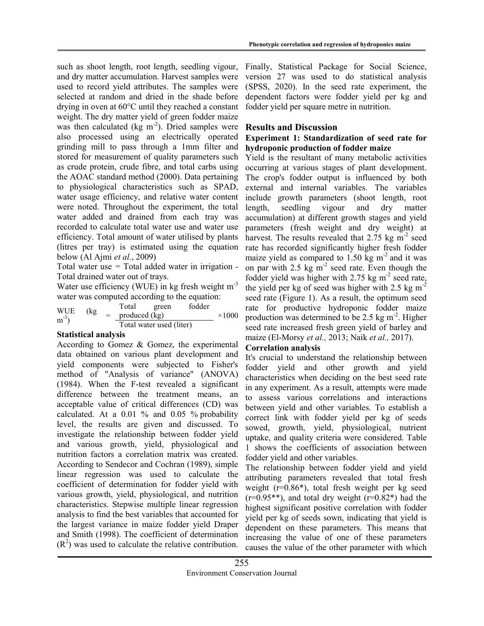such as shoot length, root length, seedling vigour, and dry matter accumulation. Harvest samples were used to record yield attributes. The samples were selected at random and dried in the shade before drying in oven at 60°C until they reached a constant weight. The dry matter yield of green fodder maize was then calculated (kg  $m^{-2}$ ). Dried samples were also processed using an electrically operated grinding mill to pass through a 1mm filter and stored for measurement of quality parameters such as crude protein, crude fibre, and total carbs using the AOAC standard method (2000). Data pertaining to physiological characteristics such as SPAD, water usage efficiency, and relative water content were noted. Throughout the experiment, the total water added and drained from each tray was recorded to calculate total water use and water use efficiency. Total amount of water utilised by plants (litres per tray) is estimated using the equation below (Al Ajmi et al., 2009)

Total water use  $=$  Total added water in irrigation  $-$ Total drained water out of trays.

Water use efficiency (WUE) in kg fresh weight  $m<sup>-3</sup>$ water was computed according to the equation:

WUE (kg  $\begin{array}{ccc} \text{w} \cup \text{E} & \text{kg} \\ \text{m}^3 & \end{array}$ Total green fodder produced  $(kg)$   $\times 1000$ Total water used (liter)

### Statistical analysis

According to Gomez & Gomez, the experimental data obtained on various plant development and yield components were subjected to Fisher's method of "Analysis of variance" (ANOVA) (1984). When the F-test revealed a significant difference between the treatment means, an acceptable value of critical differences (CD) was calculated. At a  $0.01\%$  and  $0.05\%$  probability level, the results are given and discussed. To investigate the relationship between fodder yield and various growth, yield, physiological and nutrition factors a correlation matrix was created. According to Sendecor and Cochran (1989), simple linear regression was used to calculate the coefficient of determination for fodder yield with various growth, yield, physiological, and nutrition characteristics. Stepwise multiple linear regression analysis to find the best variables that accounted for the largest variance in maize fodder yield Draper and Smith (1998). The coefficient of determination  $(R<sup>2</sup>)$  was used to calculate the relative contribution.

Finally, Statistical Package for Social Science, version 27 was used to do statistical analysis (SPSS, 2020). In the seed rate experiment, the dependent factors were fodder yield per kg and fodder yield per square metre in nutrition.

#### Results and Discussion

#### Experiment 1: Standardization of seed rate for hydroponic production of fodder maize

Yield is the resultant of many metabolic activities occurring at various stages of plant development. The crop's fodder output is influenced by both external and internal variables. The variables include growth parameters (shoot length, root length, seedling vigour and dry matter accumulation) at different growth stages and yield parameters (fresh weight and dry weight) at harvest. The results revealed that  $2.75 \text{ kg m}^2$  seed rate has recorded significantly higher fresh fodder maize yield as compared to 1.50 kg  $m<sup>2</sup>$  and it was on par with 2.5 kg  $m<sup>-2</sup>$  seed rate. Even though the fodder yield was higher with 2.75 kg  $m<sup>-2</sup>$  seed rate, the yield per kg of seed was higher with 2.5 kg  $m<sup>2</sup>$ seed rate (Figure 1). As a result, the optimum seed rate for productive hydroponic fodder maize production was determined to be 2.5 kg  $m<sup>2</sup>$ . Higher seed rate increased fresh green yield of barley and maize (El-Morsy et al., 2013; Naik et al., 2017).

#### Correlation analysis

It's crucial to understand the relationship between fodder yield and other growth and yield characteristics when deciding on the best seed rate in any experiment. As a result, attempts were made to assess various correlations and interactions between yield and other variables. To establish a correct link with fodder yield per kg of seeds sowed, growth, yield, physiological, nutrient uptake, and quality criteria were considered. Table 1 shows the coefficients of association between fodder yield and other variables.

The relationship between fodder yield and yield attributing parameters revealed that total fresh weight (r=0.86\*), total fresh weight per kg seed  $(r=0.95**)$ , and total dry weight  $(r=0.82*)$  had the highest significant positive correlation with fodder yield per kg of seeds sown, indicating that yield is dependent on these parameters. This means that increasing the value of one of these parameters causes the value of the other parameter with which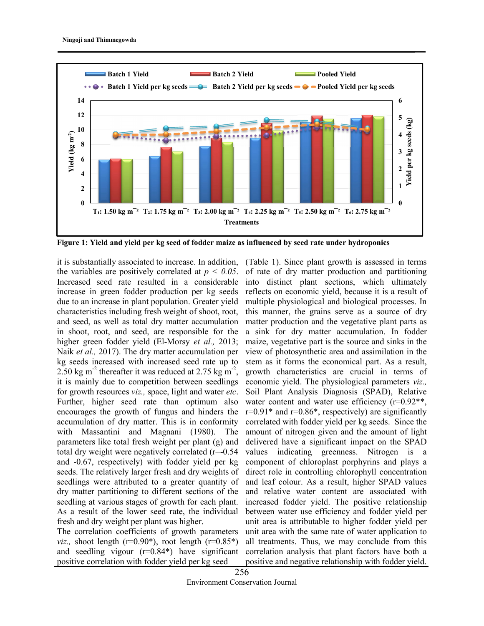

Figure 1: Yield and yield per kg seed of fodder maize as influenced by seed rate under hydroponics

it is substantially associated to increase. In addition, (Table 1). Since plant growth is assessed in terms the variables are positively correlated at  $p < 0.05$ . Increased seed rate resulted in a considerable increase in green fodder production per kg seeds due to an increase in plant population. Greater yield characteristics including fresh weight of shoot, root, and seed, as well as total dry matter accumulation in shoot, root, and seed, are responsible for the higher green fodder yield (El-Morsy et al., 2013; Naik et al., 2017). The dry matter accumulation per kg seeds increased with increased seed rate up to 2.50 kg m<sup>-2</sup> thereafter it was reduced at 2.75 kg m<sup>-2</sup>, it is mainly due to competition between seedlings for growth resources viz., space, light and water etc. Further, higher seed rate than optimum also encourages the growth of fungus and hinders the accumulation of dry matter. This is in conformity with Massantini and Magnani (1980). The parameters like total fresh weight per plant (g) and total dry weight were negatively correlated (r=-0.54 and -0.67, respectively) with fodder yield per kg seeds. The relatively larger fresh and dry weights of seedlings were attributed to a greater quantity of dry matter partitioning to different sections of the seedling at various stages of growth for each plant. As a result of the lower seed rate, the individual fresh and dry weight per plant was higher.

The correlation coefficients of growth parameters *viz.*, shoot length ( $r=0.90^*$ ), root length ( $r=0.85^*$ ) and seedling vigour (r=0.84\*) have significant positive correlation with fodder yield per kg seed

of rate of dry matter production and partitioning into distinct plant sections, which ultimately reflects on economic yield, because it is a result of multiple physiological and biological processes. In this manner, the grains serve as a source of dry matter production and the vegetative plant parts as a sink for dry matter accumulation. In fodder maize, vegetative part is the source and sinks in the view of photosynthetic area and assimilation in the stem as it forms the economical part. As a result, growth characteristics are crucial in terms of economic yield. The physiological parameters viz., Soil Plant Analysis Diagnosis (SPAD), Relative water content and water use efficiency (r=0.92<sup>\*\*</sup>,  $r=0.91*$  and  $r=0.86*$ , respectively) are significantly correlated with fodder yield per kg seeds. Since the amount of nitrogen given and the amount of light delivered have a significant impact on the SPAD values indicating greenness. Nitrogen is a component of chloroplast porphyrins and plays a direct role in controlling chlorophyll concentration and leaf colour. As a result, higher SPAD values and relative water content are associated with increased fodder yield. The positive relationship between water use efficiency and fodder yield per unit area is attributable to higher fodder yield per unit area with the same rate of water application to all treatments. Thus, we may conclude from this correlation analysis that plant factors have both a positive and negative relationship with fodder yield.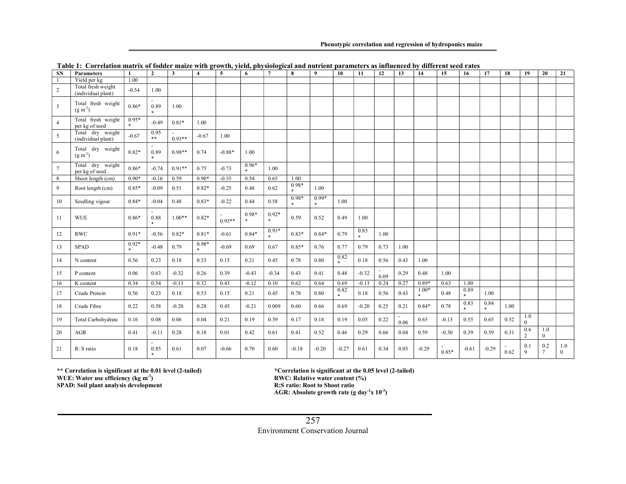#### Phenotypic correlation and regression of hydroponics maize

| <b>SN</b>      | <b>Parameters</b>                        | $\mathbf{1}$   | $\overline{2}$ | $\mathbf{3}$ | $\overline{\mathbf{A}}$ | 5        | 6              | $\overline{7}$ | 8                 | $\boldsymbol{q}$ | 10          | 11             | 12   | 13   | 14      | 15      | 16          | 17             | 18   | 19                    | 20                     | 21              |
|----------------|------------------------------------------|----------------|----------------|--------------|-------------------------|----------|----------------|----------------|-------------------|------------------|-------------|----------------|------|------|---------|---------|-------------|----------------|------|-----------------------|------------------------|-----------------|
|                | Yield per kg                             | 1.00           |                |              |                         |          |                |                |                   |                  |             |                |      |      |         |         |             |                |      |                       |                        |                 |
| 2              | Total fresh weight<br>(individual plant) | $-0.54$        | 1.00           |              |                         |          |                |                |                   |                  |             |                |      |      |         |         |             |                |      |                       |                        |                 |
| 3              | Total fresh weight<br>$(g m-2)$          | $0.86*$        | 0.89<br>$\ast$ | 1.00         |                         |          |                |                |                   |                  |             |                |      |      |         |         |             |                |      |                       |                        |                 |
| $\overline{4}$ | Total fresh weight<br>per kg of seed     | $0.95*$<br>$*$ | $-0.49$        | $0.81*$      | 1.00                    |          |                |                |                   |                  |             |                |      |      |         |         |             |                |      |                       |                        |                 |
| 5              | Total dry weight<br>(individual plant)   | $-0.67$        | 0.95<br>$***$  | $0.93**$     | $-0.67$                 | 1.00     |                |                |                   |                  |             |                |      |      |         |         |             |                |      |                       |                        |                 |
| 6              | Total dry weight<br>$(g m-2)$            | $0.82*$        | 0.89<br>$\ast$ | $0.98**$     | 0.74                    | $-0.88*$ | 1.00           |                |                   |                  |             |                |      |      |         |         |             |                |      |                       |                        |                 |
| $\tau$         | Total dry weight<br>per kg of seed       | $0.86*$        | $-0.74$        | $0.91**$     | 0.75                    | $-0.73$  | $0.96*$        | 1.00           |                   |                  |             |                |      |      |         |         |             |                |      |                       |                        |                 |
| 8              | Shoot length (cm)                        | $0.90*$        | $-0.16$        | 0.59         | $0.90*$                 | $-0.35$  | 0.54           | 0.65           | 1.00              |                  |             |                |      |      |         |         |             |                |      |                       |                        |                 |
| 9              | Root length (cm)                         | $0.85*$        | $-0.09$        | 0.51         | $0.82*$                 | $-0.25$  | 0.48           | 0.62           | 0.98*<br>$\ast$   | 1.00             |             |                |      |      |         |         |             |                |      |                       |                        |                 |
| 10             | Seedling vigour                          | $0.84*$        | $-0.04$        | 0.48         | $0.83*$                 | $-0.22$  | 0.44           | 0.58           | $0.98*$<br>$\ast$ | $0.99*$<br>$*$   | 1.00        |                |      |      |         |         |             |                |      |                       |                        |                 |
| 11             | <b>WUE</b>                               | $0.86*$        | 0.88<br>$\ast$ | $1.00**$     | $0.82*$                 | $0.93**$ | $0.98*$<br>$*$ | $0.92*$<br>$*$ | 0.59              | 0.52             | 0.49        | 1.00           |      |      |         |         |             |                |      |                       |                        |                 |
| 12             | <b>RWC</b>                               | $0.91*$        | $-0.56$        | $0.82*$      | $0.81*$                 | $-0.61$  | $0.84*$        | $0.91*$        | $0.83*$           | $0.84*$          | 0.79        | 0.83<br>$\ast$ | 1.00 |      |         |         |             |                |      |                       |                        |                 |
| 13             | <b>SPAD</b>                              | $0.92*$        | $-0.48$        | 0.79         | $0.98*$                 | $-0.69$  | 0.69           | 0.67           | $0.85*$           | 0.76             | 0.77        | 0.79           | 0.73 | 1.00 |         |         |             |                |      |                       |                        |                 |
| 14             | N content                                | 0.56           | 0.23           | 0.18         | 0.53                    | 0.15     | 0.21           | 0.45           | 0.78              | 0.80             | 0.82<br>$*$ | 0.18           | 0.56 | 0.43 | 1.00    |         |             |                |      |                       |                        |                 |
| 15             | P content                                | 0.06           | 0.63           | $-0.32$      | 0.26                    | 0.39     | $-0.43$        | $-0.34$        | 0.43              | 0.41             | 0.48        | $-0.32$        | 0.09 | 0.29 | 0.48    | 1.00    |             |                |      |                       |                        |                 |
| 16             | K content                                | 0.34           | 0.54           | $-0.13$      | 0.32                    | 0.43     | $-0.12$        | 0.10           | 0.62              | 0.64             | 0.69        | $-0.13$        | 0.24 | 0.27 | $0.89*$ | 0.63    | 1.00        |                |      |                       |                        |                 |
| 17             | Crude Protein                            | 0.56           | 0.23           | 0.18         | 0.53                    | 0.15     | 0.21           | 0.45           | 0.78              | 0.80             | 0.82<br>$*$ | 0.18           | 0.56 | 0.43 | $1.00*$ | 0.48    | 0.89<br>$*$ | 1.00           |      |                       |                        |                 |
| 18             | Crude Fibre                              | 0.22           | 0.58           | $-0.20$      | 0.28                    | 0.45     | $-0.21$        | 0.009          | 0.60              | 0.66             | 0.69        | $-0.20$        | 0.25 | 0.21 | $0.84*$ | 0.78    | 0.83<br>$*$ | 0.84<br>$\ast$ | 1.00 |                       |                        |                 |
| 19             | Total Carbohydrate                       | 0.16           | 0.08           | 0.06         | 0.04                    | 0.21     | 0.19           | 0.39           | 0.17              | 0.18             | 0.19        | 0.05           | 0.22 | 0.06 | 0.65    | $-0.13$ | 0.55        | 0.65           | 0.32 | 1.0<br>$\theta$       |                        |                 |
| 20             | AGR                                      | 0.41           | $-0.11$        | 0.28         | 0.18                    | 0.01     | 0.42           | 0.61           | 0.41              | 0.52             | 0.46        | 0.29           | 0.66 | 0.04 | 0.59    | $-0.30$ | 0.39        | 0.59           | 0.31 | 0.6<br>$\overline{c}$ | 1.0<br>$\theta$        |                 |
| 21             | R: S ratio                               | 0.18           | 0.85<br>*      | 0.61         | 0.07                    | $-0.66$  | 0.70           | 0.60           | $-0.18$           | $-0.20$          | $-0.27$     | 0.61           | 0.34 | 0.03 | $-0.29$ | $0.85*$ | $-0.61$     | $-0.29$        | 0.62 | 0.1<br>9              | 0.2<br>$7\phantom{.0}$ | 1.0<br>$\Omega$ |

Table 1: Correlation matrix of fodder maize with growth, yield, physiological and nutrient parameters as influenced by different seed rates

WUE: Water use efficiency (kg m<sup>-3</sup>)

SPAD: Soil plant analysis development

\*\* Correlation is significant at the 0.01 level (2-tailed) \*Correlation is significant at the 0.05 level (2-tailed) RWC: Relative water content (%) R:S ratio: Root to Shoot ratio AGR: Absolute growth rate (g day<sup>-1</sup>x  $10^{-3}$ )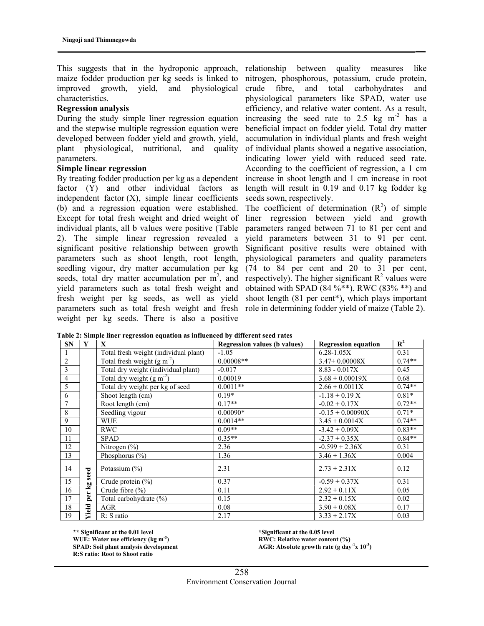This suggests that in the hydroponic approach, maize fodder production per kg seeds is linked to improved growth, yield, and physiological characteristics.

#### Regression analysis

During the study simple liner regression equation and the stepwise multiple regression equation were developed between fodder yield and growth, yield, plant physiological, nutritional, and quality parameters.

#### Simple linear regression

By treating fodder production per kg as a dependent factor (Y) and other individual factors as independent factor  $(X)$ , simple linear coefficients (b) and a regression equation were established. Except for total fresh weight and dried weight of individual plants, all b values were positive (Table 2). The simple linear regression revealed a significant positive relationship between growth parameters such as shoot length, root length, seedling vigour, dry matter accumulation per kg seeds, total dry matter accumulation per  $m^2$ , and yield parameters such as total fresh weight and fresh weight per kg seeds, as well as yield parameters such as total fresh weight and fresh weight per kg seeds. There is also a positive

relationship between quality measures like nitrogen, phosphorous, potassium, crude protein, crude fibre, and total carbohydrates and physiological parameters like SPAD, water use efficiency, and relative water content. As a result, increasing the seed rate to 2.5 kg  $m<sup>2</sup>$  has a beneficial impact on fodder yield. Total dry matter accumulation in individual plants and fresh weight of individual plants showed a negative association, indicating lower yield with reduced seed rate. According to the coefficient of regression, a 1 cm increase in shoot length and 1 cm increase in root length will result in 0.19 and 0.17 kg fodder kg seeds sown, respectively.

The coefficient of determination  $(R^2)$  of simple liner regression between yield and growth parameters ranged between 71 to 81 per cent and yield parameters between 31 to 91 per cent. Significant positive results were obtained with physiological parameters and quality parameters (74 to 84 per cent and 20 to 31 per cent, respectively). The higher significant  $\mathbb{R}^2$  values were obtained with SPAD (84 %\*\*), RWC (83% \*\*) and shoot length (81 per cent\*), which plays important role in determining fodder yield of maize (Table 2).

|                | Table 2: Simple liner regression equation as influenced by different seed rates |                                       |                                     |                            |                |  |  |  |  |  |  |
|----------------|---------------------------------------------------------------------------------|---------------------------------------|-------------------------------------|----------------------------|----------------|--|--|--|--|--|--|
| <b>SN</b>      | Y                                                                               | X                                     | <b>Regression values (b values)</b> | <b>Regression equation</b> | $\mathbb{R}^2$ |  |  |  |  |  |  |
|                |                                                                                 | Total fresh weight (individual plant) | $-1.05$                             | $6.28 - 1.05X$             | 0.31           |  |  |  |  |  |  |
| $\overline{2}$ |                                                                                 | Total fresh weight $(g m-2)$          | $0.00008**$                         | $3.47+0.00008X$            | $0.74**$       |  |  |  |  |  |  |
| 3              |                                                                                 | Total dry weight (individual plant)   | $-0.017$                            | $8.83 - 0.017X$            | 0.45           |  |  |  |  |  |  |
| $\overline{4}$ |                                                                                 | Total dry weight $(g m-2)$            | 0.00019                             | $3.68 + 0.00019X$          | 0.68           |  |  |  |  |  |  |
| 5              |                                                                                 | Total dry weight per kg of seed       | $0.0011**$                          | $2.66 + 0.0011X$           | $0.74**$       |  |  |  |  |  |  |
| 6              |                                                                                 | Shoot length (cm)                     | $0.19*$                             | $-1.18 + 0.19 X$           | $0.81*$        |  |  |  |  |  |  |
| 7              |                                                                                 | Root length (cm)                      | $0.17**$                            | $-0.02 + 0.17X$            | $0.72**$       |  |  |  |  |  |  |
| 8              |                                                                                 | Seedling vigour                       | $0.00090*$                          | $-0.15 + 0.00090X$         | $0.71*$        |  |  |  |  |  |  |
| 9              |                                                                                 | <b>WUE</b>                            | $0.0014**$                          | $3.45 + 0.0014X$           | $0.74**$       |  |  |  |  |  |  |
| 10             |                                                                                 | <b>RWC</b>                            | $0.09**$                            | $-3.42 + 0.09X$            | $0.83**$       |  |  |  |  |  |  |
| 11             |                                                                                 | <b>SPAD</b>                           | $0.35**$                            | $-2.37 + 0.35X$            | $0.84**$       |  |  |  |  |  |  |
| 12             |                                                                                 | Nitrogen (%)                          | 2.36                                | $-0.599 + 2.36X$           | 0.31           |  |  |  |  |  |  |
| 13             |                                                                                 | Phosphorus (%)                        | 1.36                                | $3.46 + 1.36X$             | 0.004          |  |  |  |  |  |  |
| 14             |                                                                                 | Potassium $(\% )$                     | 2.31                                | $2.73 + 2.31X$             | 0.12           |  |  |  |  |  |  |
| 15             | per kg seed                                                                     | Crude protein $(\% )$                 | 0.37                                | $-0.59 + 0.37X$            | 0.31           |  |  |  |  |  |  |
| 16             |                                                                                 | Crude fibre (%)                       | 0.11                                | $2.92 + 0.11X$             | 0.05           |  |  |  |  |  |  |
| 17             |                                                                                 | Total carbohydrate (%)                | 0.15                                | $2.32 + 0.15X$             | 0.02           |  |  |  |  |  |  |
| 18             | <b>Yield</b>                                                                    | AGR                                   | 0.08                                | $3.90 + 0.08X$             | 0.17           |  |  |  |  |  |  |
| 19             |                                                                                 | R: S ratio                            | 2.17                                | $3.33 + 2.17X$             | 0.03           |  |  |  |  |  |  |

\*\* Significant at the 0.01 level \*Significant at the 0.05 level WUE: Water use efficiency (kg  $m<sup>3</sup>$ )<br>SPAD: Soil plant analysis development R:S ratio: Root to Shoot ratio

) RWC: Relative water content (%) SPAD: Soil plant analysis development  $\overline{AGR}$ : Absolute growth rate (g day<sup>-1</sup>x 10<sup>-3</sup>)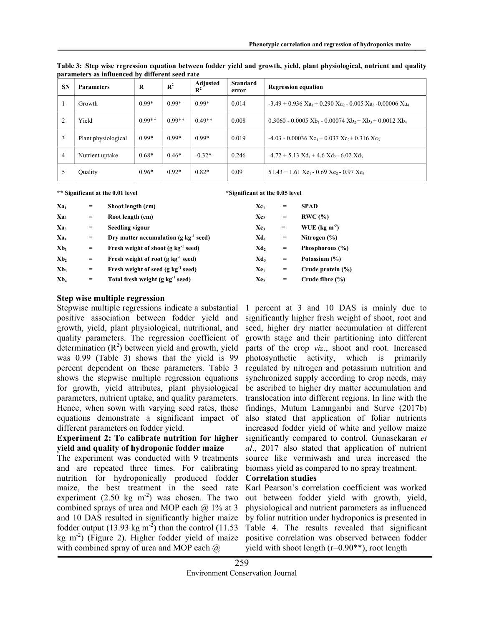| <b>SN</b>      | <b>Parameters</b>   | R        | $\mathbb{R}^2$ | Adjusted<br>$\mathbf{R}^2$ | <b>Standard</b><br>error | <b>Regression equation</b>                                                                               |
|----------------|---------------------|----------|----------------|----------------------------|--------------------------|----------------------------------------------------------------------------------------------------------|
|                | Growth              | $0.99*$  | $0.99*$        | $0.99*$                    | 0.014                    | $-3.49 + 0.936$ Xa <sub>1</sub> + 0.290 Xa <sub>2</sub> - 0.005 Xa <sub>3</sub> -0.00006 Xa <sub>4</sub> |
| $\overline{2}$ | Yield               | $0.99**$ | $0.99**$       | $0.49**$                   | 0.008                    | $0.3060 - 0.0005$ Xb <sub>1</sub> - 0.00074 Xb <sub>2</sub> + Xb <sub>3</sub> + 0.0012 Xb <sub>4</sub>   |
| 3              | Plant physiological | $0.99*$  | $0.99*$        | $0.99*$                    | 0.019                    | $-4.03 - 0.00036$ $Xc_1 + 0.037$ $Xc_2 + 0.316$ $Xc_3$                                                   |
| $\overline{4}$ | Nutrient uptake     | $0.68*$  | $0.46*$        | $-0.32*$                   | 0.246                    | $-4.72 + 5.13$ $Xd_1 + 4.6$ $Xd_2 - 6.02$ $Xd_3$                                                         |
| 5              | Quality             | $0.96*$  | $0.92*$        | $0.82*$                    | 0.09                     | $51.43 + 1.61$ Xe <sub>1</sub> - 0.69 Xe <sub>2</sub> - 0.97 Xe <sub>3</sub>                             |

Table 3: Step wise regression equation between fodder yield and growth, yield, plant physiological, nutrient and quality parameters as influenced by different seed rate

\*\* Significant at the 0.01 level \*Significant at the 0.05 level

| $Xa_1$                     | $=$                     | Shoot length (cm)                                   | $Xc_1$          | $\qquad \qquad =\qquad \qquad$ | <b>SPAD</b>                |
|----------------------------|-------------------------|-----------------------------------------------------|-----------------|--------------------------------|----------------------------|
| Xa <sub>2</sub>            | $=$                     | Root length (cm)                                    | Xc <sub>2</sub> | $\qquad \qquad =$              | RWC(%)                     |
| Xa <sub>3</sub>            | $\qquad \qquad =$       | <b>Seedling vigour</b>                              | $Xc_3$          | $\qquad \qquad =$              | WUE ( $\text{kg m}^{-3}$ ) |
| Xa <sub>4</sub>            | $\qquad \qquad =$       | Drv matter accumulation ( $g \text{ kg}^{-1}$ seed) | Xd <sub>1</sub> | $\qquad \qquad =$              | Nitrogen $(\% )$           |
| $Xb_1$                     | $=$                     | Fresh weight of shoot (g $kg^{-1}$ seed)            | Xd <sub>2</sub> | $\qquad \qquad =\qquad \qquad$ | Phosphorous (%)            |
| Xb <sub>2</sub>            | $\qquad \qquad =$       | Fresh weight of root (g $kg^{-1}$ seed)             | Xd,             | $\qquad \qquad =\qquad \qquad$ | Potassium (%)              |
| Xb,                        | $\qquad \qquad =\qquad$ | Fresh weight of seed $(g \ kg^{-1}$ seed)           | $Xe_1$          | $\qquad \qquad =\qquad \qquad$ | Crude protein (%)          |
| X <sub>b<sub>4</sub></sub> | $\qquad \qquad =$       | Total fresh weight $(g \ kg^{-1} \ seed)$           | Xe <sub>2</sub> | $\qquad \qquad =\qquad \qquad$ | Crude fibre $(\% )$        |

#### Step wise multiple regression

Stepwise multiple regressions indicate a substantial positive association between fodder yield and growth, yield, plant physiological, nutritional, and quality parameters. The regression coefficient of determination  $(R^2)$  between yield and growth, yield was 0.99 (Table 3) shows that the yield is 99 percent dependent on these parameters. Table 3 shows the stepwise multiple regression equations for growth, yield attributes, plant physiological parameters, nutrient uptake, and quality parameters. Hence, when sown with varying seed rates, these equations demonstrate a significant impact of different parameters on fodder yield.

#### Experiment 2: To calibrate nutrition for higher yield and quality of hydroponic fodder maize

The experiment was conducted with 9 treatments and are repeated three times. For calibrating nutrition for hydroponically produced fodder maize, the best treatment in the seed rate experiment  $(2.50 \text{ kg m}^2)$  was chosen. The two combined sprays of urea and MOP each  $(a)$  1% at 3 and 10 DAS resulted in significantly higher maize fodder output  $(13.93 \text{ kg m}^2)$  than the control  $(11.53 \text{ m})$  $kg \text{ m}^{-2}$ ) (Figure 2). Higher fodder yield of maize with combined spray of urea and MOP each  $\omega$ 

1 percent at 3 and 10 DAS is mainly due to significantly higher fresh weight of shoot, root and seed, higher dry matter accumulation at different growth stage and their partitioning into different parts of the crop viz., shoot and root. Increased photosynthetic activity, which is primarily regulated by nitrogen and potassium nutrition and synchronized supply according to crop needs, may be ascribed to higher dry matter accumulation and translocation into different regions. In line with the findings, Mutum Lamnganbi and Surve (2017b) also stated that application of foliar nutrients increased fodder yield of white and yellow maize significantly compared to control. Gunasekaran et al., 2017 also stated that application of nutrient source like vermiwash and urea increased the biomass yield as compared to no spray treatment.

## Correlation studies

Karl Pearson's correlation coefficient was worked out between fodder yield with growth, yield, physiological and nutrient parameters as influenced by foliar nutrition under hydroponics is presented in Table 4. The results revealed that significant positive correlation was observed between fodder yield with shoot length (r=0.90\*\*), root length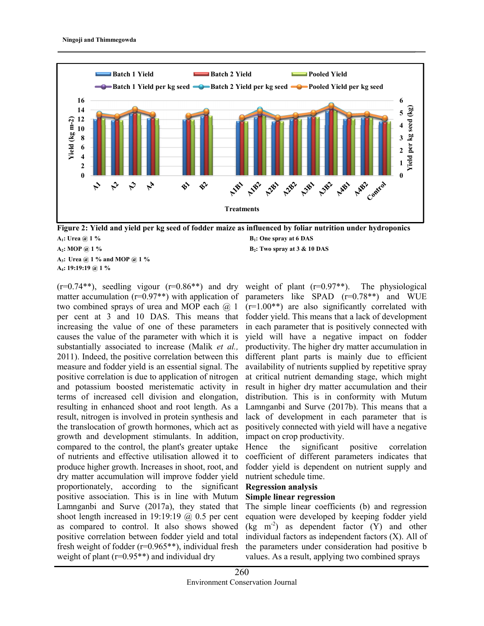

 $A_1$ : Urea @ 1 % B<sub>1</sub>: One spray at 6 DAS  $A_2$ : MOP @ 1 % B<sub>2</sub>: Two spray at 3 & 10 DAS

A<sub>3</sub>: Urea @ 1 % and MOP @ 1 % A4: 19:19:19 @ 1 %

 $(r=0.74**)$ , seedling vigour  $(r=0.86**)$  and dry matter accumulation ( $r=0.97**$ ) with application of two combined sprays of urea and MOP each  $(2, 1)$ per cent at 3 and 10 DAS. This means that increasing the value of one of these parameters causes the value of the parameter with which it is substantially associated to increase (Malik *et al.*, 2011). Indeed, the positive correlation between this measure and fodder yield is an essential signal. The positive correlation is due to application of nitrogen and potassium boosted meristematic activity in terms of increased cell division and elongation, resulting in enhanced shoot and root length. As a result, nitrogen is involved in protein synthesis and the translocation of growth hormones, which act as growth and development stimulants. In addition, compared to the control, the plant's greater uptake of nutrients and effective utilisation allowed it to produce higher growth. Increases in shoot, root, and dry matter accumulation will improve fodder yield proportionately, according to the significant positive association. This is in line with Mutum Lamnganbi and Surve (2017a), they stated that shoot length increased in 19:19:19  $\omega$  0.5 per cent as compared to control. It also shows showed positive correlation between fodder yield and total fresh weight of fodder (r=0.965\*\*), individual fresh weight of plant (r=0.95\*\*) and individual dry

weight of plant  $(r=0.97**)$ . The physiological parameters like SPAD (r=0.78\*\*) and WUE  $(r=1.00^{**})$  are also significantly correlated with fodder yield. This means that a lack of development in each parameter that is positively connected with yield will have a negative impact on fodder productivity. The higher dry matter accumulation in different plant parts is mainly due to efficient availability of nutrients supplied by repetitive spray at critical nutrient demanding stage, which might result in higher dry matter accumulation and their distribution. This is in conformity with Mutum Lamnganbi and Surve (2017b). This means that a lack of development in each parameter that is positively connected with yield will have a negative impact on crop productivity.

Hence the significant positive correlation coefficient of different parameters indicates that fodder yield is dependent on nutrient supply and nutrient schedule time.

#### Regression analysis

#### Simple linear regression

The simple linear coefficients (b) and regression equation were developed by keeping fodder yield  $(kg \ m<sup>-2</sup>)$  as dependent factor  $(Y)$  and other individual factors as independent factors (X). All of the parameters under consideration had positive b values. As a result, applying two combined sprays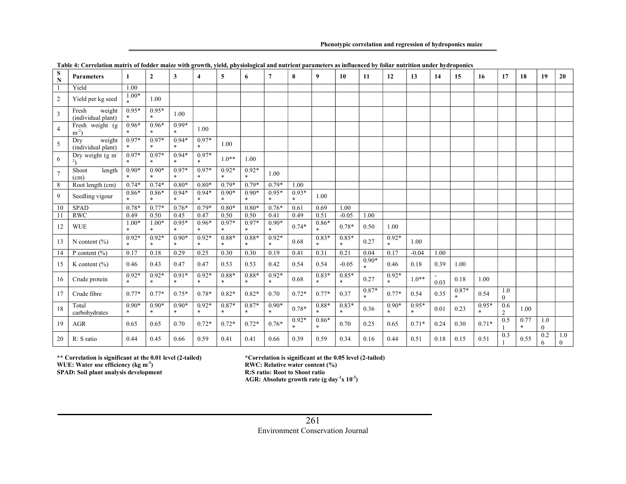Phenotypic correlation and regression of hydroponics maize

| S<br>N                  | <b>Parameters</b>                          | 1                 | $\overline{2}$                 | 3                              | 4                 | 5                 | 6                 | $\overline{7}$          | 8                 | 9                       | 10                | 11      | 12                      | 13                | 14   | 15                | 16                | 17                    | 18             | 19              | 20                  |
|-------------------------|--------------------------------------------|-------------------|--------------------------------|--------------------------------|-------------------|-------------------|-------------------|-------------------------|-------------------|-------------------------|-------------------|---------|-------------------------|-------------------|------|-------------------|-------------------|-----------------------|----------------|-----------------|---------------------|
| $\overline{1}$          | Yield                                      | 1.00              |                                |                                |                   |                   |                   |                         |                   |                         |                   |         |                         |                   |      |                   |                   |                       |                |                 |                     |
| $\overline{2}$          | Yield per kg seed                          | $1.00*$           | 1.00                           |                                |                   |                   |                   |                         |                   |                         |                   |         |                         |                   |      |                   |                   |                       |                |                 |                     |
| $\overline{\mathbf{3}}$ | weight<br>Fresh<br>(individual plant)      | $0.95*$<br>*      | $0.95*$<br>$\ast$              | 1.00                           |                   |                   |                   |                         |                   |                         |                   |         |                         |                   |      |                   |                   |                       |                |                 |                     |
| $\overline{4}$          | Fresh weight (g)<br>$m^{-2}$               | $0.96*$<br>$\ast$ | $0.96*$<br>$\ast$              | $0.99*$<br>$\ast$              | 1.00              |                   |                   |                         |                   |                         |                   |         |                         |                   |      |                   |                   |                       |                |                 |                     |
| 5                       | weight<br>Dry<br>(individual plant)        | $0.97*$<br>*      | $0.97*$<br>$\ast$              | $0.94*$<br>$\ast$              | $0.97*$<br>$\ast$ | 1.00              |                   |                         |                   |                         |                   |         |                         |                   |      |                   |                   |                       |                |                 |                     |
| 6                       | Dry weight (g m <sup>-</sup><br>$2\lambda$ | $0.97*$<br>$\ast$ | $0.97*$<br>$\ast$              | $0.94*$<br>$\ast$              | $0.97*$<br>$\ast$ | $1.0**$           | 1.00              |                         |                   |                         |                   |         |                         |                   |      |                   |                   |                       |                |                 |                     |
| $\overline{7}$          | Shoot<br>length<br>(cm)                    | $0.90*$<br>$\ast$ | $0.90*$<br>$\ast$              | $0.97*$<br>$\ast$              | $0.97*$<br>$\ast$ | $0.92*$<br>$\ast$ | $0.92*$<br>$*$    | 1.00                    |                   |                         |                   |         |                         |                   |      |                   |                   |                       |                |                 |                     |
| 8                       | Root length (cm)                           | $0.74*$           | $0.74*$                        | $0.80*$                        | $0.80*$           | $0.79*$           | $0.79*$           | $0.79*$                 | 1.00              |                         |                   |         |                         |                   |      |                   |                   |                       |                |                 |                     |
| 9                       | Seedling vigour                            | $0.86*$           | $0.86*$<br>$\boldsymbol{\ast}$ | $0.94*$<br>$\ast$              | $0.94*$<br>$\ast$ | $0.90*$<br>$\ast$ | $0.90*$<br>$*$    | $0.95*$<br>$\mathbf{x}$ | $0.93*$<br>$\ast$ | 1.00                    |                   |         |                         |                   |      |                   |                   |                       |                |                 |                     |
| 10                      | <b>SPAD</b>                                | $0.78*$           | $0.77*$                        | $0.76*$                        | $0.79*$           | $0.80*$           | $0.80*$           | $0.76*$                 | 0.61              | 0.69                    | 1.00              |         |                         |                   |      |                   |                   |                       |                |                 |                     |
| 11                      | RWC                                        | 0.49              | 0.50                           | 0.45                           | 0.47              | 0.50              | 0.50              | 0.41                    | 0.49              | 0.51                    | $-0.05$           | 1.00    |                         |                   |      |                   |                   |                       |                |                 |                     |
| 12                      | <b>WUE</b>                                 | $1.00*$<br>sk.    | $1.00*$<br>$\ast$              | $0.95*$<br>$\ast$              | $0.96*$<br>$\ast$ | $0.97*$<br>$\ast$ | $0.97*$<br>$*$    | $0.90*$<br>$\ast$       | $0.74*$           | $0.86*$<br>$\ast$       | $0.78*$           | 0.50    | 1.00                    |                   |      |                   |                   |                       |                |                 |                     |
| 13                      | N content $(\% )$                          | $0.92*$<br>$\ast$ | $0.92*$<br>$\ast$              | $0.90*$<br>$\ast$              | $0.92*$<br>$\ast$ | $0.88*$<br>$\ast$ | $0.88*$<br>$*$    | $0.92*$<br>$\ast$       | 0.68              | $0.83*$<br>$\mathbf{x}$ | $0.85*$<br>$\ast$ | 0.27    | $0.92*$<br>$\mathbf{x}$ | 1.00              |      |                   |                   |                       |                |                 |                     |
| 14                      | P content $(\% )$                          | 0.17              | 0.18                           | 0.29                           | 0.25              | 0.30              | 0.30              | 0.19                    | 0.41              | 0.31                    | 0.21              | 0.04    | 0.17                    | $-0.04$           | 1.00 |                   |                   |                       |                |                 |                     |
| 15                      | K content $(\% )$                          | 0.46              | 0.43                           | 0.47                           | 0.47              | 0.53              | 0.53              | 0.42                    | 0.54              | 0.54                    | $-0.05$           | $0.90*$ | 0.46                    | 0.18              | 0.39 | 1.00              |                   |                       |                |                 |                     |
| 16                      | Crude protein                              | $0.92*$<br>$\ast$ | $0.92*$<br>$\boldsymbol{\ast}$ | $0.91*$<br>$\ast$              | $0.92*$<br>$\ast$ | $0.88*$<br>$\ast$ | $0.88*$<br>$\ast$ | $0.92*$<br>$\ast$       | 0.68              | $0.83*$<br>$\ast$       | $0.85*$<br>$\ast$ | 0.27    | $0.92*$<br>$\ast$       | $1.0**$           | 0.03 | 0.18              | 1.00              |                       |                |                 |                     |
| 17                      | Crude fibre                                | $0.77*$           | $0.77*$                        | $0.75*$                        | $0.78*$           | $0.82*$           | $0.82*$           | 0.70                    | $0.72*$           | $0.77*$                 | 0.37              | $0.87*$ | $0.77*$                 | 0.54              | 0.35 | $0.87*$<br>$\ast$ | 0.54              | 1.0<br>$\theta$       |                |                 |                     |
| 18                      | Total<br>carbohydrates                     | $0.90*$<br>$\ast$ | $0.90*$<br>$\ast$              | $0.90*$<br>$\boldsymbol{\ast}$ | $0.92*$<br>$\ast$ | $0.87*$<br>$\ast$ | $0.87*$           | $0.90*$<br>$\ast$       | $0.78*$           | $0.88*$                 | $0.83*$<br>$\ast$ | 0.36    | $0.90*$<br>$\mathbf{x}$ | $0.95*$<br>$\ast$ | 0.01 | 0.23              | $0.95*$<br>$\ast$ | 0.6<br>$\overline{2}$ | 1.00           |                 |                     |
| 19                      | AGR                                        | 0.65              | 0.65                           | 0.70                           | $0.72*$           | $0.72*$           | $0.72*$           | $0.76*$                 | $0.92*$<br>$\ast$ | $0.86*$<br>$\mathbf{x}$ | 0.70              | 0.25    | 0.65                    | $0.71*$           | 0.24 | 0.30              | $0.71*$           | 0.5                   | 0.77<br>$\ast$ | 1.0<br>$\theta$ |                     |
| 20                      | R: S ratio                                 | 0.44              | 0.45                           | 0.66                           | 0.59              | 0.41              | 0.41              | 0.66                    | 0.39              | 0.59                    | 0.34              | 0.16    | 0.44                    | 0.51              | 0.18 | 0.15              | 0.51              | 0.3                   | 0.55           | 0.2<br>6        | 1.0<br>$\mathbf{0}$ |

Table 4: Correlation matrix of fodder maize with growth, yield, physiological and nutrient parameters as influenced by foliar nutrition under hydroponics

\*\* Correlation is significant at the 0.01 level (2-tailed) \*Correlation is significant at the 0.05 level (2-tailed)

WUE: Water use efficiency (kg m<sup>-3</sup>)

SPAD: Soil plant analysis development

\*Correlation is significant at the 0.05 level (2-tailed) RWC: Relative water content  $(^{96}_{0})$ 

R:S ratio: Root to Shoot ratio

 $\rm AGR:$  Absolute growth rate (g day<sup>-1</sup>x 10<sup>-3</sup>)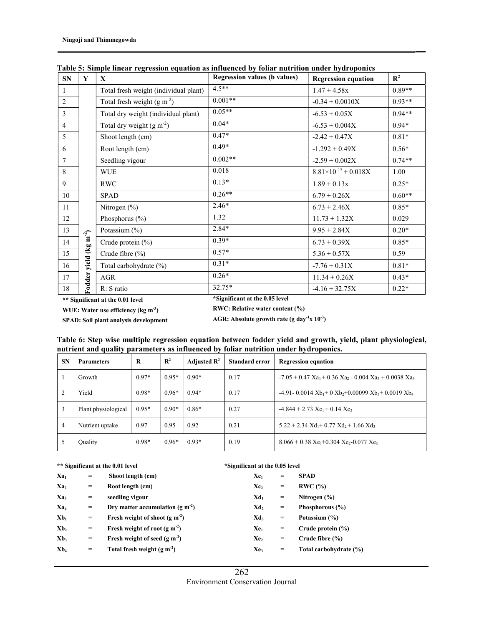| SN             | Y                           | $\mathbf{X}$                          | <b>Regression values (b values)</b> | <b>Regression equation</b>    | $\mathbb{R}^2$ |
|----------------|-----------------------------|---------------------------------------|-------------------------------------|-------------------------------|----------------|
| 1              |                             | Total fresh weight (individual plant) | $4.5***$                            | $1.47 + 4.58x$                | $0.89**$       |
| $\overline{2}$ |                             | Total fresh weight $(g m-2)$          | $0.001**$                           | $-0.34 + 0.0010X$             | $0.93**$       |
| 3              |                             | Total dry weight (individual plant)   | $0.05**$                            | $-6.53 + 0.05X$               | $0.94**$       |
| $\overline{4}$ |                             | Total dry weight $(g m-2)$            | $0.04*$                             | $-6.53 + 0.004X$              | $0.94*$        |
| 5              |                             | Shoot length (cm)                     | $0.47*$                             | $-2.42 + 0.47X$               | $0.81*$        |
| 6              |                             | Root length (cm)                      | $0.49*$                             | $-1.292 + 0.49X$              | $0.56*$        |
| 7              |                             | Seedling vigour                       | $0.002**$                           | $-2.59 + 0.002X$              | $0.74**$       |
| 8              |                             | <b>WUE</b>                            | 0.018                               | $8.81\times10^{-15} + 0.018X$ | 1.00           |
| 9              |                             | <b>RWC</b>                            | $0.13*$                             | $1.89 + 0.13x$                | $0.25*$        |
| 10             |                             | <b>SPAD</b>                           | $0.26**$                            | $6.79 + 0.26X$                | $0.60**$       |
| 11             |                             | Nitrogen (%)                          | $2.46*$                             | $6.73 + 2.46X$                | $0.85*$        |
| 12             |                             | Phosphorus (%)                        | 1.32                                | $11.73 + 1.32X$               | 0.029          |
| 13             |                             | Potassium (%)                         | $2.84*$                             | $9.95 + 2.84X$                | $0.20*$        |
| 14             | yield (kg m <sup>-2</sup> ) | Crude protein $(\% )$                 | $0.39*$                             | $6.73 + 0.39X$                | $0.85*$        |
| 15             |                             | Crude fibre (%)                       | $0.57*$                             | $5.36 + 0.57X$                | 0.59           |
| 16             |                             | Total carbohydrate (%)                | $0.31*$                             | $-7.76 + 0.31X$               | $0.81*$        |
| 17             | Fodder                      | AGR                                   | $0.26*$                             | $11.34 + 0.26X$               | $0.43*$        |
| 18             |                             | R: S ratio                            | 32.75*                              | $-4.16 + 32.75X$              | $0.22*$        |

Table 5: Simple linear regression equation as influenced by foliar nutrition under hydroponics

\*\* Significant at the 0.01 level \*Significant at the 0.05 level

WUE: Water use efficiency (kg m<sup>-3</sup>) RWC: Relative water content (%) SPAD: Soil plant analysis development

AGR: Absolute growth rate (g day<sup>-1</sup>x 10<sup>-3</sup>)

| <b>SN</b> | . .<br><b>Parameters</b> | R       | $\mathbb{R}^2$ | Adjusted $\mathbb{R}^2$ | <b>Standard error</b> | <b>Regression equation</b>                                                                             |
|-----------|--------------------------|---------|----------------|-------------------------|-----------------------|--------------------------------------------------------------------------------------------------------|
|           | Growth                   | $0.97*$ | $0.95*$        | $0.90*$                 | 0.17                  | $-7.05 + 0.47$ Xa <sub>1</sub> + 0.36 Xa <sub>2</sub> - 0.004 Xa <sub>3</sub> + 0.0038 Xa <sub>4</sub> |
|           | Yield                    | $0.98*$ | $0.96*$        | $0.94*$                 | 0.17                  | -4.91 - 0.0014 $Xb_1$ + 0 $Xb_2$ + 0.00099 $Xb_3$ + 0.0019 $Xb_4$                                      |
| 3         | Plant physiological      | $0.95*$ | $0.90*$        | $0.86*$                 | 0.27                  | $-4.844 + 2.73$ $Xc_1 + 0.14$ $Xc_2$                                                                   |
| 4         | Nutrient uptake          | 0.97    | 0.95           | 0.92                    | 0.21                  | $5.22 + 2.34$ $Xd_1 + 0.77$ $Xd_2 + 1.66$ $Xd_3$                                                       |
|           | <b>Quality</b>           | $0.98*$ | $0.96*$        | $0.93*$                 | 0.19                  | $8.066 + 0.38$ Xe <sub>1</sub> +0.304 Xe <sub>2</sub> -0.077 Xe <sub>3</sub>                           |

Table 6: Step wise multiple regression equation between fodder yield and growth, yield, plant physiological, nutrient and quality parameters as influenced by foliar nutrition under hydroponics.

#### \*\* Significant at the 0.01 level \*Significant at the 0.05 level

| $Xa_1$          | $=$                                 | Shoot length (cm)                     | $Xc_1$          | $\hspace*{0.4em} = \hspace*{0.4em}$ | <b>SPAD</b>            |
|-----------------|-------------------------------------|---------------------------------------|-----------------|-------------------------------------|------------------------|
| Xa <sub>2</sub> | $=$                                 | Root length (cm)                      | Xc <sub>2</sub> | $\hspace*{0.4em} = \hspace*{0.4em}$ | RWC(%)                 |
| $Xa_3$          | $\qquad \qquad =$                   | seedling vigour                       | $Xd_1$          | $\qquad \qquad =$                   | Nitrogen $(\% )$       |
| Xa <sub>4</sub> | $\hspace*{0.4em} = \hspace*{0.4em}$ | Dry matter accumulation (g $m^{-2}$ ) | Xd,             | $\qquad \qquad =$                   | Phosphorous (%)        |
| $Xb_1$          | $\hspace*{0.4em} = \hspace*{0.4em}$ | Fresh weight of shoot ( $g m-2$ )     | $Xd_3$          | $\hspace*{0.4em} = \hspace*{0.4em}$ | Potassium (%)          |
| Xb <sub>2</sub> | $\hspace*{0.4em} = \hspace*{0.4em}$ | Fresh weight of root $(g m-2)$        | $Xe_1$          | $\qquad \qquad =$                   | Crude protein $(\% )$  |
| Xb <sub>3</sub> | $\hspace*{0.4em} = \hspace*{0.4em}$ | Fresh weight of seed $(g m-2)$        | Xe <sub>2</sub> | $\hspace*{0.4em} = \hspace*{0.4em}$ | Crude fibre $(\% )$    |
| $Xb_4$          | $\qquad \qquad =\qquad \qquad$      | Total fresh weight $(g m-2)$          | Xe <sub>3</sub> | $\hspace*{0.4em} = \hspace*{0.4em}$ | Total carbohydrate (%) |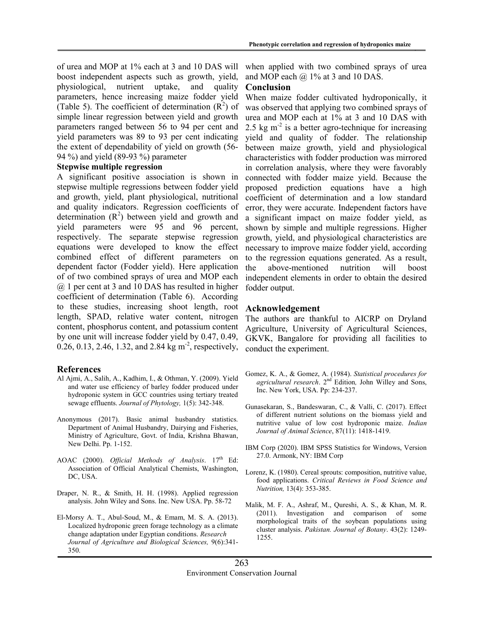of urea and MOP at 1% each at 3 and 10 DAS will boost independent aspects such as growth, yield, physiological, nutrient uptake, and quality parameters, hence increasing maize fodder yield (Table 5). The coefficient of determination  $(R^2)$  of simple linear regression between yield and growth parameters ranged between 56 to 94 per cent and yield parameters was 89 to 93 per cent indicating the extent of dependability of yield on growth (56- 94 %) and yield (89-93 %) parameter

#### Stepwise multiple regression

A significant positive association is shown in stepwise multiple regressions between fodder yield and growth, yield, plant physiological, nutritional and quality indicators. Regression coefficients of determination  $(R^2)$  between yield and growth and yield parameters were 95 and 96 percent, respectively. The separate stepwise regression equations were developed to know the effect combined effect of different parameters on dependent factor (Fodder yield). Here application of of two combined sprays of urea and MOP each @ 1 per cent at 3 and 10 DAS has resulted in higher coefficient of determination (Table 6). According to these studies, increasing shoot length, root length, SPAD, relative water content, nitrogen content, phosphorus content, and potassium content by one unit will increase fodder yield by 0.47, 0.49, 0.26, 0.13, 2.46, 1.32, and 2.84 kg  $m^2$ , respectively,

#### References

- Al Ajmi, A., Salih, A., Kadhim, I., & Othman, Y. (2009). Yield and water use efficiency of barley fodder produced under hydroponic system in GCC countries using tertiary treated sewage effluents. Journal of Phytology, 1(5): 342-348.
- Anonymous (2017). Basic animal husbandry statistics. Department of Animal Husbandry, Dairying and Fisheries, Ministry of Agriculture, Govt. of India, Krishna Bhawan, New Delhi. Pp. 1-152.
- AOAC (2000). Official Methods of Analysis.  $17<sup>th</sup>$  Ed: Association of Official Analytical Chemists, Washington, DC, USA.
- Draper, N. R., & Smith, H. H. (1998). Applied regression analysis. John Wiley and Sons. Inc. New USA. Pp. 58-72
- El-Morsy A. T., Abul-Soud, M., & Emam, M. S. A. (2013). Localized hydroponic green forage technology as a climate change adaptation under Egyptian conditions. Research Journal of Agriculture and Biological Sciences, 9(6):341- 350.

when applied with two combined sprays of urea and MOP each  $@$  1% at 3 and 10 DAS.

#### Conclusion

When maize fodder cultivated hydroponically, it was observed that applying two combined sprays of urea and MOP each at 1% at 3 and 10 DAS with 2.5 kg  $m<sup>2</sup>$  is a better agro-technique for increasing yield and quality of fodder. The relationship between maize growth, yield and physiological characteristics with fodder production was mirrored in correlation analysis, where they were favorably connected with fodder maize yield. Because the proposed prediction equations have a high coefficient of determination and a low standard error, they were accurate. Independent factors have a significant impact on maize fodder yield, as shown by simple and multiple regressions. Higher growth, yield, and physiological characteristics are necessary to improve maize fodder yield, according to the regression equations generated. As a result, the above-mentioned nutrition will boost independent elements in order to obtain the desired fodder output.

#### Acknowledgement

The authors are thankful to AICRP on Dryland Agriculture, University of Agricultural Sciences, GKVK, Bangalore for providing all facilities to conduct the experiment.

- Gomez, K. A., & Gomez, A. (1984). Statistical procedures for agricultural research. 2<sup>nd</sup> Edition, John Willey and Sons, Inc. New York, USA. Pp: 234-237.
- Gunasekaran, S., Bandeswaran, C., & Valli, C. (2017). Effect of different nutrient solutions on the biomass yield and nutritive value of low cost hydroponic maize. Indian Journal of Animal Science, 87(11): 1418-1419.
- IBM Corp (2020). IBM SPSS Statistics for Windows, Version 27.0. Armonk, NY: IBM Corp
- Lorenz, K. (1980). Cereal sprouts: composition, nutritive value, food applications. Critical Reviews in Food Science and Nutrition, 13(4): 353-385.
- Malik, M. F. A., Ashraf, M., Qureshi, A. S., & Khan, M. R. (2011). Investigation and comparison of some morphological traits of the soybean populations using cluster analysis. Pakistan. Journal of Botany. 43(2): 1249- 1255.